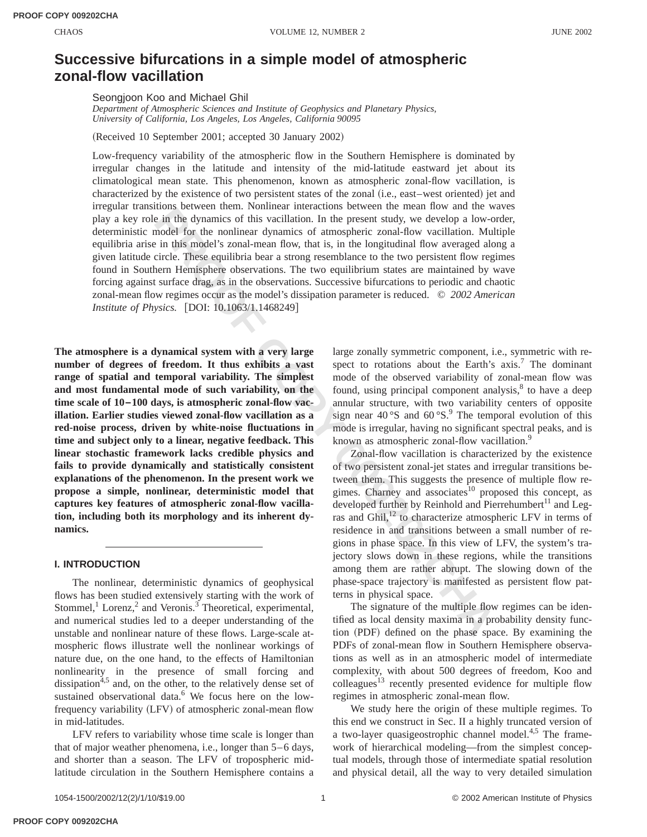# **Successive bifurcations in a simple model of atmospheric zonal-flow vacillation**

Seongjoon Koo and Michael Ghil

*Department of Atmospheric Sciences and Institute of Geophysics and Planetary Physics, University of California, Los Angeles, Los Angeles, California 90095*

(Received 10 September 2001; accepted 30 January 2002)

ansation between them, Nonlinear interactions between the mean tow and the windividual<br>institute the distance in the system and the mean toward the signific sin this in the conder of the modiler of the nonlinear dynamics o Low-frequency variability of the atmospheric flow in the Southern Hemisphere is dominated by irregular changes in the latitude and intensity of the mid-latitude eastward jet about its climatological mean state. This phenomenon, known as atmospheric zonal-flow vacillation, is characterized by the existence of two persistent states of the zonal (i.e., east–west oriented) jet and irregular transitions between them. Nonlinear interactions between the mean flow and the waves play a key role in the dynamics of this vacillation. In the present study, we develop a low-order, deterministic model for the nonlinear dynamics of atmospheric zonal-flow vacillation. Multiple equilibria arise in this model's zonal-mean flow, that is, in the longitudinal flow averaged along a given latitude circle. These equilibria bear a strong resemblance to the two persistent flow regimes found in Southern Hemisphere observations. The two equilibrium states are maintained by wave forcing against surface drag, as in the observations. Successive bifurcations to periodic and chaotic zonal-mean flow regimes occur as the model's dissipation parameter is reduced. © *2002 American Institute of Physics.* [DOI: 10.1063/1.1468249]

**The atmosphere is a dynamical system with a very large number of degrees of freedom. It thus exhibits a vast range of spatial and temporal variability. The simplest and most fundamental mode of such variability, on the time scale of 10–100 days, is atmospheric zonal-flow vacillation. Earlier studies viewed zonal-flow vacillation as a red-noise process, driven by white-noise fluctuations in time and subject only to a linear, negative feedback. This linear stochastic framework lacks credible physics and fails to provide dynamically and statistically consistent explanations of the phenomenon. In the present work we propose a simple, nonlinear, deterministic model that captures key features of atmospheric zonal-flow vacillation, including both its morphology and its inherent dynamics.**

# **I. INTRODUCTION**

The nonlinear, deterministic dynamics of geophysical flows has been studied extensively starting with the work of Stommel, $<sup>1</sup>$  Lorenz, $<sup>2</sup>$  and Veronis.<sup>3</sup> Theoretical, experimental,</sup></sup> and numerical studies led to a deeper understanding of the unstable and nonlinear nature of these flows. Large-scale atmospheric flows illustrate well the nonlinear workings of nature due, on the one hand, to the effects of Hamiltonian nonlinearity in the presence of small forcing and dissipation<sup>4,5</sup> and, on the other, to the relatively dense set of sustained observational data.<sup>6</sup> We focus here on the lowfrequency variability (LFV) of atmospheric zonal-mean flow in mid-latitudes.

LFV refers to variability whose time scale is longer than that of major weather phenomena, i.e., longer than 5–6 days, and shorter than a season. The LFV of tropospheric midlatitude circulation in the Southern Hemisphere contains a large zonally symmetric component, i.e., symmetric with respect to rotations about the Earth's  $axis.<sup>7</sup>$  The dominant mode of the observed variability of zonal-mean flow was found, using principal component analysis, $8$  to have a deep annular structure, with two variability centers of opposite sign near  $40^{\circ}$ S and  $60^{\circ}$ S.<sup>9</sup> The temporal evolution of this mode is irregular, having no significant spectral peaks, and is known as atmospheric zonal-flow vacillation.<sup>9</sup>

Zonal-flow vacillation is characterized by the existence of two persistent zonal-jet states and irregular transitions between them. This suggests the presence of multiple flow regimes. Charney and associates<sup>10</sup> proposed this concept, as developed further by Reinhold and Pierrehumbert<sup>11</sup> and Legras and Ghil,<sup>12</sup> to characterize atmospheric LFV in terms of residence in and transitions between a small number of regions in phase space. In this view of LFV, the system's trajectory slows down in these regions, while the transitions among them are rather abrupt. The slowing down of the phase-space trajectory is manifested as persistent flow patterns in physical space.

The signature of the multiple flow regimes can be identified as local density maxima in a probability density function (PDF) defined on the phase space. By examining the PDFs of zonal-mean flow in Southern Hemisphere observations as well as in an atmospheric model of intermediate complexity, with about 500 degrees of freedom, Koo and colleagues<sup>13</sup> recently presented evidence for multiple flow regimes in atmospheric zonal-mean flow.

We study here the origin of these multiple regimes. To this end we construct in Sec. II a highly truncated version of a two-layer quasigeostrophic channel model. $4,5$  The framework of hierarchical modeling—from the simplest conceptual models, through those of intermediate spatial resolution and physical detail, all the way to very detailed simulation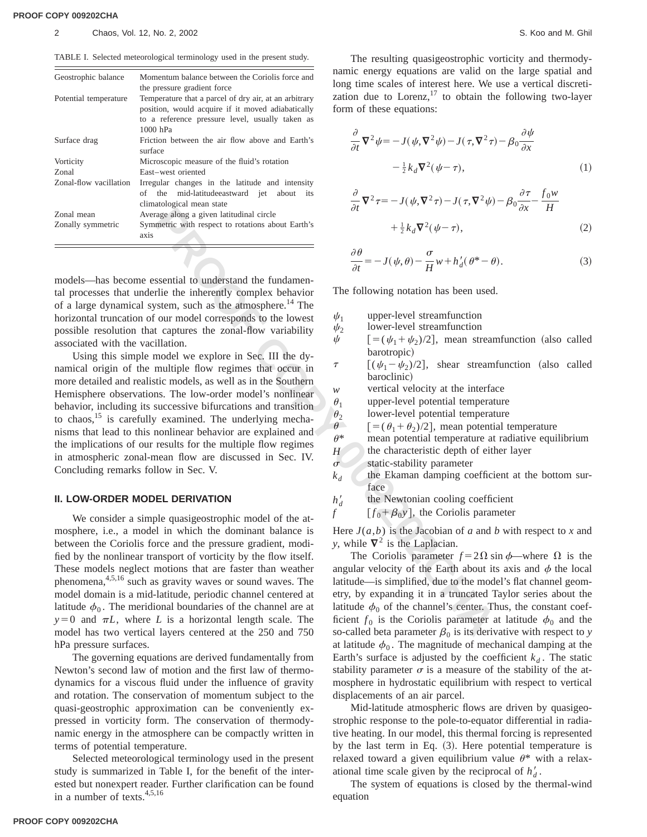| Geostrophic balance   | Momentum balance between the Coriolis force and<br>the pressure gradient force                                   | namic<br>long ti     |
|-----------------------|------------------------------------------------------------------------------------------------------------------|----------------------|
| Potential temperature | Temperature that a parcel of dry air, at an arbitrary                                                            | zation               |
|                       | position, would acquire if it moved adiabatically<br>to a reference pressure level, usually taken as<br>1000 hPa | form c<br>$\partial$ |
| Surface drag          | Friction between the air flow above and Earth's<br>surface                                                       | $\partial t$         |
| Vorticity             | Microscopic measure of the fluid's rotation                                                                      |                      |
| Zonal                 | East-west oriented                                                                                               |                      |

Zonal-flow vacillation Irregular changes in the latitude and intensity of the mid-latitudeeastward jet about its climatological mean state Zonal mean Average along a given latitudinal circle Zonally symmetric Symmetric with respect to rotations about Earth's

axis

models—has become essential to understand the fundamental processes that underlie the inherently complex behavior of a large dynamical system, such as the atmosphere.<sup>14</sup> The horizontal truncation of our model corresponds to the lowest possible resolution that captures the zonal-flow variability associated with the vacillation.

Using this simple model we explore in Sec. III the dynamical origin of the multiple flow regimes that occur in more detailed and realistic models, as well as in the Southern Hemisphere observations. The low-order model's nonlinear behavior, including its successive bifurcations and transition to chaos, $^{15}$  is carefully examined. The underlying mechanisms that lead to this nonlinear behavior are explained and the implications of our results for the multiple flow regimes in atmospheric zonal-mean flow are discussed in Sec. IV. Concluding remarks follow in Sec. V.

#### **II. LOW-ORDER MODEL DERIVATION**

**Example the set of the set of the set of the system and set of the system of the system of the set of the set of the set of the set of the set of the set of the set of the set of the set of the set of the set of the set** We consider a simple quasigeostrophic model of the atmosphere, i.e., a model in which the dominant balance is between the Coriolis force and the pressure gradient, modified by the nonlinear transport of vorticity by the flow itself. These models neglect motions that are faster than weather phenomena,<sup>4,5,16</sup> such as gravity waves or sound waves. The model domain is a mid-latitude, periodic channel centered at latitude  $\phi_0$ . The meridional boundaries of the channel are at  $y=0$  and  $\pi L$ , where *L* is a horizontal length scale. The model has two vertical layers centered at the 250 and 750 hPa pressure surfaces.

The governing equations are derived fundamentally from Newton's second law of motion and the first law of thermodynamics for a viscous fluid under the influence of gravity and rotation. The conservation of momentum subject to the quasi-geostrophic approximation can be conveniently expressed in vorticity form. The conservation of thermodynamic energy in the atmosphere can be compactly written in terms of potential temperature.

Selected meteorological terminology used in the present study is summarized in Table I, for the benefit of the interested but nonexpert reader. Further clarification can be found in a number of texts.4,5,16

The resulting quasigeostrophic vorticity and thermodyenergy equations are valid on the large spatial and lime scales of interest here. We use a vertical discretidue to Lorenz, $^{17}$  to obtain the following two-layer of these equations:

$$
\frac{\partial}{\partial t} \nabla^2 \psi = -J(\psi, \nabla^2 \psi) - J(\tau, \nabla^2 \tau) - \beta_0 \frac{\partial \psi}{\partial x} \n- \frac{1}{2} k_d \nabla^2 (\psi - \tau),
$$
\n(1)

$$
\frac{\partial}{\partial t} \nabla^2 \tau = -J(\psi, \nabla^2 \tau) - J(\tau, \nabla^2 \psi) - \beta_0 \frac{\partial \tau}{\partial x} - \frac{f_0 w}{H} \n+ \frac{1}{2} k_d \nabla^2 (\psi - \tau),
$$
\n(2)

$$
\frac{\partial \theta}{\partial t} = -J(\psi, \theta) - \frac{\sigma}{H} w + h'_d(\theta^* - \theta). \tag{3}
$$

The following notation has been used.

- $\psi_1$  upper-level streamfunction
- $\psi_2$  lower-level streamfunction
- $\psi$  [=( $\psi_1 + \psi_2$ )/2], mean streamfunction (also called barotropic)
- $\tau$   $[(\psi_1 \psi_2)/2]$ , shear streamfunction (also called baroclinic)
- 
- *w* vertical velocity at the interface  $\theta$ , upper-level potential temperature
- $\theta_1$  upper-level potential temperature<br> $\theta_2$  lower-level potential temperature
- $\theta_2$  lower-level potential temperature<br>  $\theta = [\theta_1 + \theta_2]/2]$ , mean potential t
- $\theta$  [=( $\theta_1 + \theta_2$ )/2], mean potential temperature<br>  $\theta^*$  mean potential temperature at radiative equi mean potential temperature at radiative equilibrium
- $H \sim$  the characteristic depth of either layer
- $\sigma$  static-stability parameter
- $k_d$  the Ekaman damping coefficient at the bottom surface
- $h_d'$ the Newtonian cooling coefficient
- $f \qquad [f_0 + \beta_0 y]$ , the Coriolis parameter

Here  $J(a,b)$  is the Jacobian of *a* and *b* with respect to *x* and *y*, while  $\nabla^2$  is the Laplacian.

The Coriolis parameter  $f = 2\Omega \sin \phi$ —where  $\Omega$  is the angular velocity of the Earth about its axis and  $\phi$  the local latitude—is simplified, due to the model's flat channel geometry, by expanding it in a truncated Taylor series about the latitude  $\phi_0$  of the channel's center. Thus, the constant coefficient  $f_0$  is the Coriolis parameter at latitude  $\phi_0$  and the so-called beta parameter  $\beta_0$  is its derivative with respect to *y* at latitude  $\phi_0$ . The magnitude of mechanical damping at the Earth's surface is adjusted by the coefficient  $k_d$ . The static stability parameter  $\sigma$  is a measure of the stability of the atmosphere in hydrostatic equilibrium with respect to vertical displacements of an air parcel.

Mid-latitude atmospheric flows are driven by quasigeostrophic response to the pole-to-equator differential in radiative heating. In our model, this thermal forcing is represented by the last term in Eq.  $(3)$ . Here potential temperature is relaxed toward a given equilibrium value  $\theta^*$  with a relaxational time scale given by the reciprocal of  $h_d$ .

The system of equations is closed by the thermal-wind equation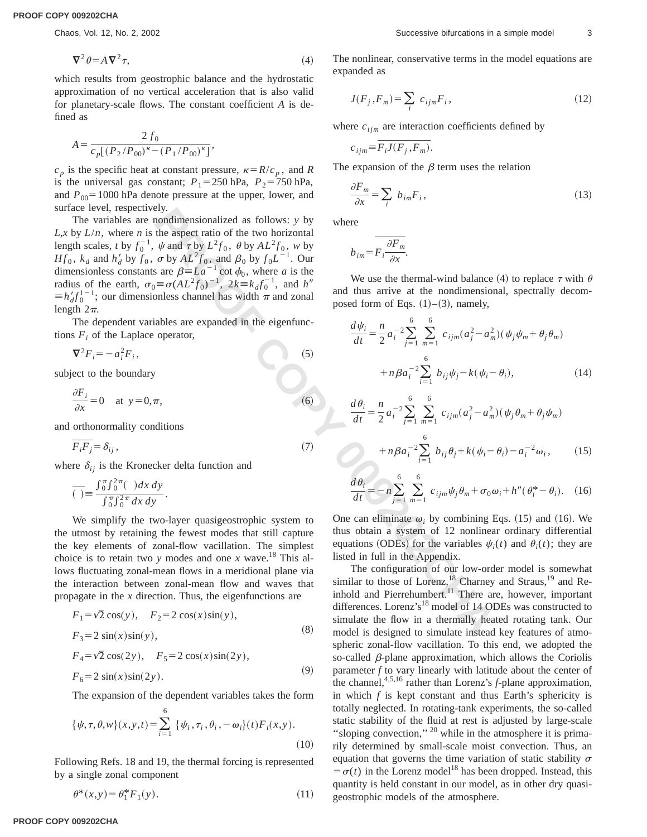$$
\nabla^2 \theta = A \, \nabla^2 \tau,\tag{4}
$$

which results from geostrophic balance and the hydrostatic approximation of no vertical acceleration that is also valid for planetary-scale flows. The constant coefficient *A* is defined as

$$
A = \frac{2 f_0}{c_p [(P_2/P_{00})^{\kappa} - (P_1/P_{00})^{\kappa}]} ,
$$

 $c_p$  is the specific heat at constant pressure,  $\kappa = R/c_p$ , and *R* is the universal gas constant;  $P_1 = 250$  hPa,  $P_2 = 750$  hPa, and  $P_{00}$ =1000 hPa denote pressure at the upper, lower, and surface level, respectively.

crively.<br>
The mondimensionalized as follows: y by<br>
increased ratio of the two horizontal<br>
increases  $\beta = 1a^{-1}$  by  $L^2\beta_0$ , the  $\gamma A L^2f_0$ , and  $\beta_0$  by  $f_0L^{-1}$ . Our<br>  $\sigma_0 = \sigma (AL^2\beta_0)^{-1}$ ,  $2k = k_d f_0^{-1}$ , and  $h''$ <br> The variables are nondimensionalized as follows: *y* by  $L, x$  by  $L/n$ , where *n* is the aspect ratio of the two horizontal length scales, *t* by  $f_0^{-1}$ ,  $\psi$  and  $\tau$  by  $L^2 f_0$ ,  $\theta$  by  $AL^2 f_0$ ,  $w$  by *Hf*<sub>0</sub>,  $k_d$  and  $h'_d$  by  $f_0$ ,  $\sigma$  by  $AL^2 f_0$ , and  $\beta_0$  by  $f_0 L^{-1}$ . Our dimensionless constants are  $\beta = La^{-1} \cot \phi_0$ , where *a* is the radius of the earth,  $\sigma_0 \equiv \sigma (AL^2 f_0)^{-1}$ ,  $2k = k_d f_0^{-1}$ , and *h*<sup>n</sup>  $\equiv h'_d f_0^{1-1}$ ; our dimensionless channel has width  $\pi$  and zonal length  $2\pi$ .

The dependent variables are expanded in the eigenfunctions  $F_i$  of the Laplace operator,

$$
\nabla^2 F_i = -a_i^2 F_i,\tag{5}
$$

subject to the boundary

$$
\frac{\partial F_i}{\partial x} = 0 \quad \text{at } y = 0, \pi,
$$
 (6)

and orthonormality conditions

$$
\overline{F_i F_j} = \delta_{ij} \,,\tag{7}
$$

where  $\delta_{ij}$  is the Kronecker delta function and

$$
\overline{(\ )} \equiv \frac{\int_0^{\pi} \int_0^{2\pi} (-) dx dy}{\int_0^{\pi} \int_0^{2\pi} dx dy}.
$$

We simplify the two-layer quasigeostrophic system to the utmost by retaining the fewest modes that still capture the key elements of zonal-flow vacillation. The simplest choice is to retain two *y* modes and one *x* wave.<sup>18</sup> This allows fluctuating zonal-mean flows in a meridional plane via the interaction between zonal-mean flow and waves that propagate in the *x* direction. Thus, the eigenfunctions are

$$
F_1 = \sqrt{2} \cos(y), \quad F_2 = 2 \cos(x)\sin(y),
$$
  
\n
$$
F_3 = 2 \sin(x)\sin(y),
$$
  
\n
$$
F_4 = \sqrt{2} \cos(2y), \quad F_5 = 2 \cos(x)\sin(2y),
$$
  
\n
$$
F_6 = 2 \sin(x)\sin(2y).
$$
  
\n(9)

The expansion of the dependent variables takes the form

$$
\{\psi, \tau, \theta, w\}(x, y, t) = \sum_{i=1}^{6} \{\psi_i, \tau_i, \theta_i, -\omega_i\}(t) F_i(x, y).
$$
\n(10)

Following Refs. 18 and 19, the thermal forcing is represented by a single zonal component

$$
\theta^*(x, y) = \theta_1^* F_1(y). \tag{11}
$$

The nonlinear, conservative terms in the model equations are expanded as

$$
J(F_j, F_m) = \sum_i c_{ijm} F_i, \qquad (12)
$$

where  $c_{ijm}$  are interaction coefficients defined by

$$
c_{ijm} = \overline{F_i J(F_j, F_m)}.
$$

The expansion of the  $\beta$  term uses the relation

$$
\frac{\partial F_m}{\partial x} = \sum_i \ b_{im} F_i \,, \tag{13}
$$

where

$$
b_{im} = \overline{F_i \frac{\partial F_m}{\partial x}}.
$$

We use the thermal-wind balance (4) to replace  $\tau$  with  $\theta$ and thus arrive at the nondimensional, spectrally decomposed form of Eqs.  $(1)$ – $(3)$ , namely,

$$
\frac{d\psi_i}{dt} = \frac{n}{2} a_i^{-2} \sum_{j=1}^6 \sum_{m=1}^6 c_{ijm} (a_j^2 - a_m^2) (\psi_j \psi_m + \theta_j \theta_m)
$$

$$
+ n \beta a_i^{-2} \sum_{i=1}^6 b_{ij} \psi_j - k(\psi_i - \theta_i), \qquad (14)
$$

$$
\frac{d\theta_i}{dt} = \frac{n}{2} a_i^{-2} \sum_{j=1}^6 \sum_{m=1}^6 c_{ijm} (a_j^2 - a_m^2) (\psi_j \theta_m + \theta_j \psi_m)
$$
  
+  $n \beta a_i^{-2} \sum_{i=1}^6 b_{ij} \theta_j + k (\psi_i - \theta_i) - a_i^{-2} \omega_i,$  (15)

$$
\frac{d\theta_i}{dt} = -n\sum_{j=1}^6 \sum_{m=1}^6 c_{ijm}\psi_j \theta_m + \sigma_0 \omega_i + h''(\theta_i^* - \theta_i). \quad (16)
$$

One can eliminate  $\omega_i$  by combining Eqs. (15) and (16). We thus obtain a system of 12 nonlinear ordinary differential equations (ODEs) for the variables  $\psi_i(t)$  and  $\theta_i(t)$ ; they are listed in full in the Appendix.

The configuration of our low-order model is somewhat similar to those of Lorenz,<sup>18</sup> Charney and Straus,<sup>19</sup> and Reinhold and Pierrehumbert.<sup>11</sup> There are, however, important differences. Lorenz's<sup>18</sup> model of 14 ODEs was constructed to simulate the flow in a thermally heated rotating tank. Our model is designed to simulate instead key features of atmospheric zonal-flow vacillation. To this end, we adopted the so-called  $\beta$ -plane approximation, which allows the Coriolis parameter *f* to vary linearly with latitude about the center of the channel,4,5,16 rather than Lorenz's *f*-plane approximation, in which *f* is kept constant and thus Earth's sphericity is totally neglected. In rotating-tank experiments, the so-called static stability of the fluid at rest is adjusted by large-scale "sloping convection," <sup>20</sup> while in the atmosphere it is primarily determined by small-scale moist convection. Thus, an equation that governs the time variation of static stability  $\sigma$  $= \sigma(t)$  in the Lorenz model<sup>18</sup> has been dropped. Instead, this quantity is held constant in our model, as in other dry quasigeostrophic models of the atmosphere.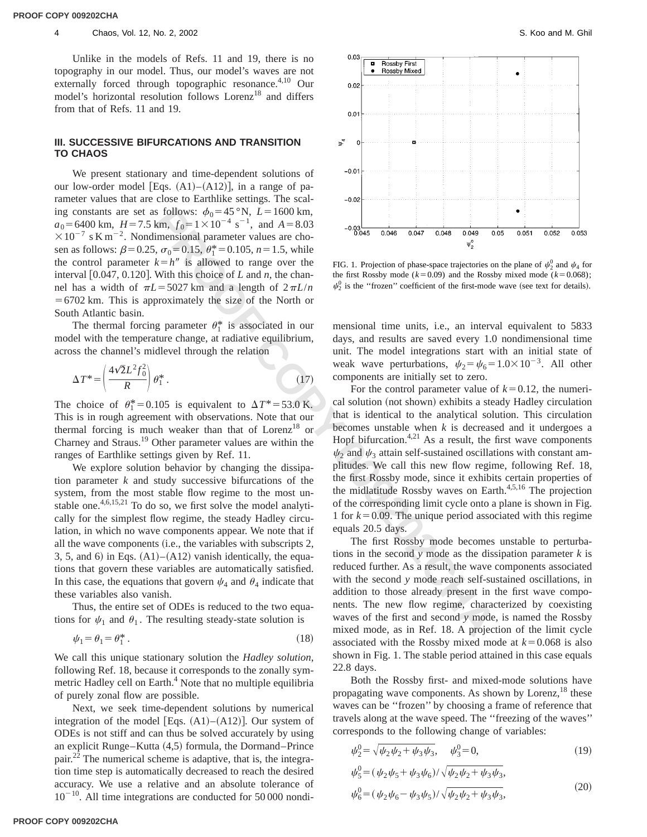#### 4 Chaos, Vol. 12, No. 2, 2002 Chaos, Vol. 12, No. 2, 2002

Unlike in the models of Refs. 11 and 19, there is no topography in our model. Thus, our model's waves are not externally forced through topographic resonance.<sup>4,10</sup> Our model's horizontal resolution follows Lorenz<sup>18</sup> and differs from that of Refs. 11 and 19.

### **III. SUCCESSIVE BIFURCATIONS AND TRANSITION TO CHAOS**

We present stationary and time-dependent solutions of our low-order model [Eqs.  $(A1)–(A12)$ ], in a range of parameter values that are close to Earthlike settings. The scaling constants are set as follows:  $\phi_0 = 45 \degree N$ , *L* = 1600 km,  $a_0$ =6400 km,  $H$ =7.5 km,  $f_0$ =1×10<sup>-4</sup> s<sup>-1</sup>, and  $A$ =8.03  $\times 10^{-7}$  s K m<sup>-2</sup>. Nondimensional parameter values are chosen as follows:  $\beta$ =0.25,  $\sigma_0$ =0.15,  $\theta_1^*$ =0.105, *n* = 1.5, while the control parameter  $k=h''$  is allowed to range over the interval  $[0.047, 0.120]$ . With this choice of *L* and *n*, the channel has a width of  $\pi L$ =5027 km and a length of  $2\pi L/n$  $=6702$  km. This is approximately the size of the North or South Atlantic basin.

The thermal forcing parameter  $\theta_1^*$  is associated in our model with the temperature change, at radiative equilibrium, across the channel's midlevel through the relation

$$
\Delta T^* = \left(\frac{4\sqrt{2}L^2 f_0^2}{R}\right)\theta_1^* \,. \tag{17}
$$

The choice of  $\theta_1^* = 0.105$  is equivalent to  $\Delta T^* = 53.0$  K. This is in rough agreement with observations. Note that our thermal forcing is much weaker than that of  $Lorenz<sup>18</sup>$  or Charney and Straus.19 Other parameter values are within the ranges of Earthlike settings given by Ref. 11.

We explore solution behavior by changing the dissipation parameter *k* and study successive bifurcations of the system, from the most stable flow regime to the most unstable one. $4,6,15,21$  To do so, we first solve the model analytically for the simplest flow regime, the steady Hadley circulation, in which no wave components appear. We note that if all the wave components  $(i.e.,$  the variables with subscripts 2, 3, 5, and 6) in Eqs.  $(A1)$ – $(A12)$  vanish identically, the equations that govern these variables are automatically satisfied. In this case, the equations that govern  $\psi_4$  and  $\theta_4$  indicate that these variables also vanish.

Thus, the entire set of ODEs is reduced to the two equations for  $\psi_1$  and  $\theta_1$ . The resulting steady-state solution is

$$
\psi_1 = \theta_1 = \theta_1^* \,. \tag{18}
$$

We call this unique stationary solution the *Hadley solution*, following Ref. 18, because it corresponds to the zonally symmetric Hadley cell on Earth.<sup>4</sup> Note that no multiple equilibria of purely zonal flow are possible.

Next, we seek time-dependent solutions by numerical integration of the model [Eqs.  $(A1)–(A12)$ ]. Our system of ODEs is not stiff and can thus be solved accurately by using an explicit Runge–Kutta  $(4,5)$  formula, the Dormand–Prince pair. $^{22}$  The numerical scheme is adaptive, that is, the integration time step is automatically decreased to reach the desired accuracy. We use a relative and an absolute tolerance of  $10^{-10}$ . All time integrations are conducted for 50 000 nondi-



FIG. 1. Projection of phase-space trajectories on the plane of  $\psi_2^0$  and  $\psi_4$  for the first Rossby mode ( $k=0.09$ ) and the Rossby mixed mode ( $k=0.068$ );  $\psi_2^0$  is the "frozen" coefficient of the first-mode wave (see text for details).

mensional time units, i.e., an interval equivalent to 5833 days, and results are saved every 1.0 nondimensional time unit. The model integrations start with an initial state of weak wave perturbations,  $\psi_2 = \psi_6 = 1.0 \times 10^{-3}$ . All other components are initially set to zero.

et as follows:  $\phi_0 = 45$  °N,  $\vec{L} = 1600$  km,<br>
27.5 km,  $\vec{L} = 1600$  km,<br>
27.6 km,  $\vec{L} = 1$  and  $\vec{A} = 8.03$ <br>
condimensional parameter values as etho-<br>
condimensional parameter values as etho-<br>
ter  $k = h''$  is allowed For the control parameter value of  $k=0.12$ , the numerical solution (not shown) exhibits a steady Hadley circulation that is identical to the analytical solution. This circulation becomes unstable when *k* is decreased and it undergoes a Hopf bifurcation. $4,21$  As a result, the first wave components  $\psi_2$  and  $\psi_3$  attain self-sustained oscillations with constant amplitudes. We call this new flow regime, following Ref. 18, the first Rossby mode, since it exhibits certain properties of the midlatitude Rossby waves on Earth. $4,5,16$  The projection of the corresponding limit cycle onto a plane is shown in Fig. 1 for  $k = 0.09$ . The unique period associated with this regime equals 20.5 days.

The first Rossby mode becomes unstable to perturbations in the second *y* mode as the dissipation parameter *k* is reduced further. As a result, the wave components associated with the second *y* mode reach self-sustained oscillations, in addition to those already present in the first wave components. The new flow regime, characterized by coexisting waves of the first and second *y* mode, is named the Rossby mixed mode, as in Ref. 18. A projection of the limit cycle associated with the Rossby mixed mode at  $k=0.068$  is also shown in Fig. 1. The stable period attained in this case equals 22.8 days.

Both the Rossby first- and mixed-mode solutions have propagating wave components. As shown by Lorenz,  $^{18}$  these waves can be ''frozen'' by choosing a frame of reference that travels along at the wave speed. The ''freezing of the waves'' corresponds to the following change of variables:

$$
\psi_2^0 = \sqrt{\psi_2 \psi_2 + \psi_3 \psi_3}, \quad \psi_3^0 = 0,\tag{19}
$$

$$
\psi_5^0 = (\psi_2 \psi_5 + \psi_3 \psi_6) / \sqrt{\psi_2 \psi_2 + \psi_3 \psi_3},
$$
  

$$
\psi_6^0 = (\psi_2 \psi_6 - \psi_3 \psi_5) / \sqrt{\psi_2 \psi_2 + \psi_3 \psi_3},
$$
 (20)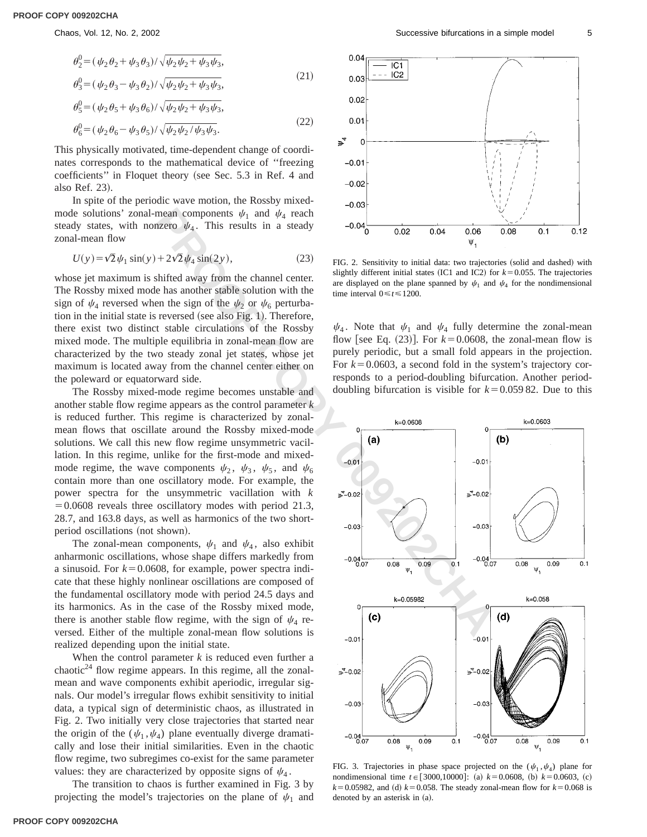$$
\theta_2^0 = (\psi_2 \theta_2 + \psi_3 \theta_3) / \sqrt{\psi_2 \psi_2 + \psi_3 \psi_3},
$$
  
\n
$$
\theta_3^0 = (\psi_2 \theta_3 - \psi_3 \theta_2) / \sqrt{\psi_2 \psi_2 + \psi_3 \psi_3},
$$
\n(21)

$$
\theta_5^0 = (\psi_2 \theta_5 + \psi_3 \theta_6) / \sqrt{\psi_2 \psi_2 + \psi_3 \psi_3},
$$
\n(23)

$$
\theta_6^0 = (\psi_2 \theta_6 - \psi_3 \theta_5) / \sqrt{\psi_2 \psi_2 / \psi_3 \psi_3}.
$$
\n(22)

This physically motivated, time-dependent change of coordinates corresponds to the mathematical device of ''freezing coefficients" in Floquet theory (see Sec. 5.3 in Ref. 4 and also Ref. 23).

In spite of the periodic wave motion, the Rossby mixedmode solutions' zonal-mean components  $\psi_1$  and  $\psi_4$  reach steady states, with nonzero  $\psi_4$ . This results in a steady zonal-mean flow

$$
U(y) = \sqrt{2}\psi_1 \sin(y) + 2\sqrt{2}\psi_4 \sin(2y),\tag{23}
$$

whose jet maximum is shifted away from the channel center. The Rossby mixed mode has another stable solution with the sign of  $\psi_4$  reversed when the sign of the  $\psi_2$  or  $\psi_6$  perturbation in the initial state is reversed (see also Fig. 1). Therefore, there exist two distinct stable circulations of the Rossby mixed mode. The multiple equilibria in zonal-mean flow are characterized by the two steady zonal jet states, whose jet maximum is located away from the channel center either on the poleward or equatorward side.

The Rossby mixed-mode regime becomes unstable and another stable flow regime appears as the control parameter *k* is reduced further. This regime is characterized by zonalmean flows that oscillate around the Rossby mixed-mode solutions. We call this new flow regime unsymmetric vacillation. In this regime, unlike for the first-mode and mixedmode regime, the wave components  $\psi_2$ ,  $\psi_3$ ,  $\psi_5$ , and  $\psi_6$ contain more than one oscillatory mode. For example, the power spectra for the unsymmetric vacillation with *k*  $=0.0608$  reveals three oscillatory modes with period 21.3, 28.7, and 163.8 days, as well as harmonics of the two shortperiod oscillations (not shown).

The zonal-mean components,  $\psi_1$  and  $\psi_4$ , also exhibit anharmonic oscillations, whose shape differs markedly from a sinusoid. For  $k=0.0608$ , for example, power spectra indicate that these highly nonlinear oscillations are composed of the fundamental oscillatory mode with period 24.5 days and its harmonics. As in the case of the Rossby mixed mode, there is another stable flow regime, with the sign of  $\psi_4$  reversed. Either of the multiple zonal-mean flow solutions is realized depending upon the initial state.

When the control parameter *k* is reduced even further a chaotic<sup>24</sup> flow regime appears. In this regime, all the zonalmean and wave components exhibit aperiodic, irregular signals. Our model's irregular flows exhibit sensitivity to initial data, a typical sign of deterministic chaos, as illustrated in Fig. 2. Two initially very close trajectories that started near the origin of the  $(\psi_1, \psi_4)$  plane eventually diverge dramatically and lose their initial similarities. Even in the chaotic flow regime, two subregimes co-exist for the same parameter values: they are characterized by opposite signs of  $\psi_4$ .

The transition to chaos is further examined in Fig. 3 by projecting the model's trajectories on the plane of  $\psi_1$  and



FIG. 2. Sensitivity to initial data: two trajectories (solid and dashed) with slightly different initial states (IC1 and IC2) for  $k=0.055$ . The trajectories are displayed on the plane spanned by  $\psi_1$  and  $\psi_4$  for the nondimensional time interval  $0 \le t \le 1200$ .

 $\psi_4$ . Note that  $\psi_1$  and  $\psi_4$  fully determine the zonal-mean flow [see Eq.  $(23)$ ]. For  $k=0.0608$ , the zonal-mean flow is purely periodic, but a small fold appears in the projection. For  $k=0.0603$ , a second fold in the system's trajectory corresponds to a period-doubling bifurcation. Another perioddoubling bifurcation is visible for  $k=0.059 82$ . Due to this



FIG. 3. Trajectories in phase space projected on the  $(\psi_1, \psi_4)$  plane for nondimensional time  $t \in [3000,10000]$ : (a)  $k=0.0608$ , (b)  $k=0.0603$ , (c)  $k=0.05982$ , and (d)  $k=0.058$ . The steady zonal-mean flow for  $k=0.068$  is denoted by an asterisk in  $(a)$ .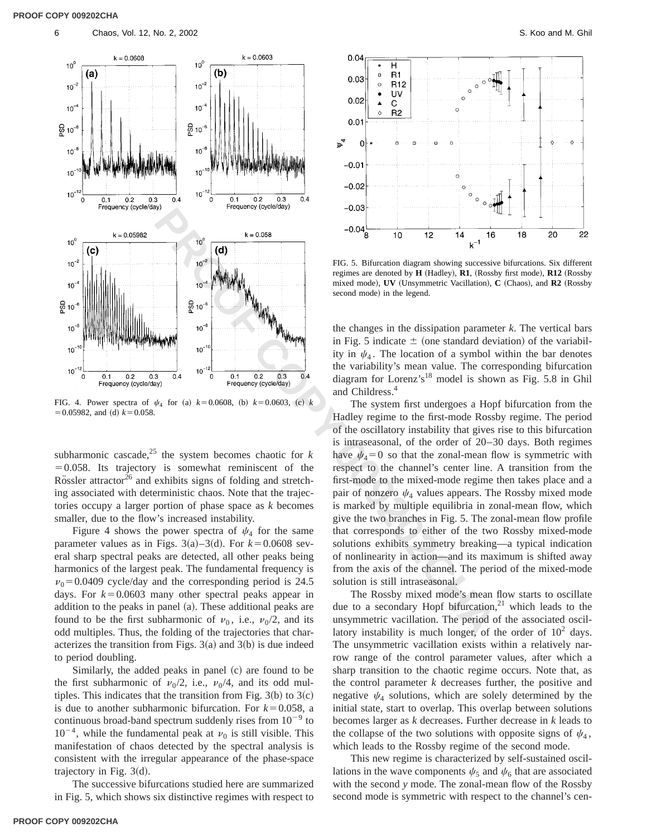

FIG. 4. Power spectra of  $\psi_4$  for (a)  $k=0.0608$ , (b)  $k=0.0603$ , (c)  $k$  $=0.05982$ , and (d)  $k=0.058$ .

subharmonic cascade,<sup>25</sup> the system becomes chaotic for  $k$  $=0.058$ . Its trajectory is somewhat reminiscent of the Rössler attractor<sup>26</sup> and exhibits signs of folding and stretching associated with deterministic chaos. Note that the trajectories occupy a larger portion of phase space as *k* becomes smaller, due to the flow's increased instability.

Figure 4 shows the power spectra of  $\psi_4$  for the same parameter values as in Figs.  $3(a) - 3(d)$ . For  $k = 0.0608$  several sharp spectral peaks are detected, all other peaks being harmonics of the largest peak. The fundamental frequency is  $v_0$ =0.0409 cycle/day and the corresponding period is 24.5 days. For  $k=0.0603$  many other spectral peaks appear in addition to the peaks in panel  $(a)$ . These additional peaks are found to be the first subharmonic of  $v_0$ , i.e.,  $v_0/2$ , and its odd multiples. Thus, the folding of the trajectories that characterizes the transition from Figs.  $3(a)$  and  $3(b)$  is due indeed to period doubling.

Similarly, the added peaks in panel  $(c)$  are found to be the first subharmonic of  $\nu_0/2$ , i.e.,  $\nu_0/4$ , and its odd multiples. This indicates that the transition from Fig.  $3(b)$  to  $3(c)$ is due to another subharmonic bifurcation. For  $k=0.058$ , a continuous broad-band spectrum suddenly rises from  $10^{-9}$  to  $10^{-4}$ , while the fundamental peak at  $\nu_0$  is still visible. This manifestation of chaos detected by the spectral analysis is consistent with the irregular appearance of the phase-space trajectory in Fig.  $3(d)$ .

The successive bifurcations studied here are summarized in Fig. 5, which shows six distinctive regimes with respect to



FIG. 5. Bifurcation diagram showing successive bifurcations. Six different regimes are denoted by **H** (Hadley), **R1**, (Rossby first mode), **R12** (Rossby mixed mode), **UV** (Unsymmetric Vacillation), **C** (Chaos), and **R2** (Rossby second mode) in the legend.

the changes in the dissipation parameter *k*. The vertical bars in Fig. 5 indicate  $\pm$  (one standard deviation) of the variability in  $\psi_4$ . The location of a symbol within the bar denotes the variability's mean value. The corresponding bifurcation diagram for Lorenz's18 model is shown as Fig. 5.8 in Ghil and Childress.4

The system first undergoes a Hopf bifurcation from the Hadley regime to the first-mode Rossby regime. The period of the oscillatory instability that gives rise to this bifurcation is intraseasonal, of the order of 20–30 days. Both regimes have  $\psi_4=0$  so that the zonal-mean flow is symmetric with respect to the channel's center line. A transition from the first-mode to the mixed-mode regime then takes place and a pair of nonzero  $\psi_4$  values appears. The Rossby mixed mode is marked by multiple equilibria in zonal-mean flow, which give the two branches in Fig. 5. The zonal-mean flow profile that corresponds to either of the two Rossby mixed-mode solutions exhibits symmetry breaking—a typical indication of nonlinearity in action—and its maximum is shifted away from the axis of the channel. The period of the mixed-mode solution is still intraseasonal.

The Rossby mixed mode's mean flow starts to oscillate due to a secondary Hopf bifurcation, $2<sup>1</sup>$  which leads to the unsymmetric vacillation. The period of the associated oscillatory instability is much longer, of the order of  $10^2$  days. The unsymmetric vacillation exists within a relatively narrow range of the control parameter values, after which a sharp transition to the chaotic regime occurs. Note that, as the control parameter *k* decreases further, the positive and negative  $\psi_4$  solutions, which are solely determined by the initial state, start to overlap. This overlap between solutions becomes larger as *k* decreases. Further decrease in *k* leads to the collapse of the two solutions with opposite signs of  $\psi_4$ , which leads to the Rossby regime of the second mode.

This new regime is characterized by self-sustained oscillations in the wave components  $\psi_5$  and  $\psi_6$  that are associated with the second *y* mode. The zonal-mean flow of the Rossby second mode is symmetric with respect to the channel's cen-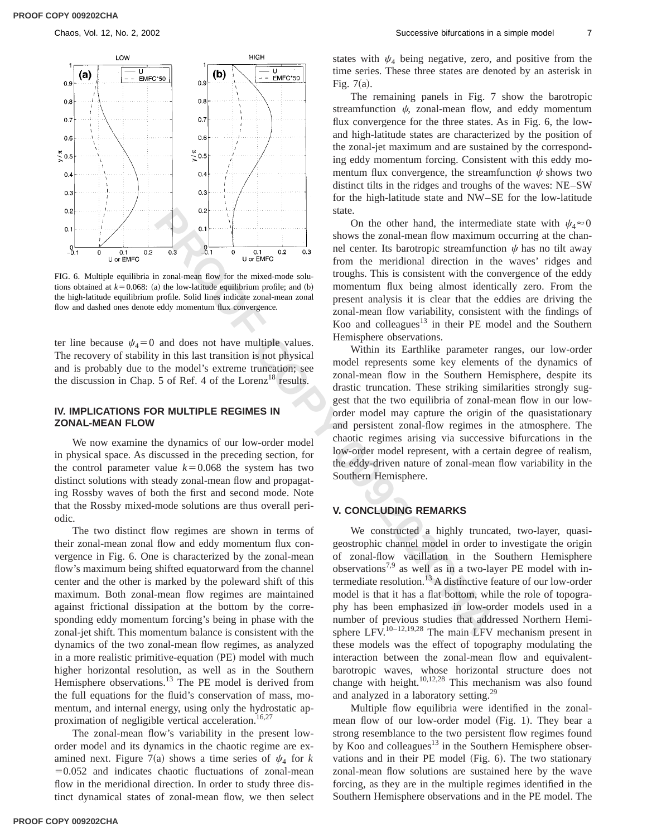

FIG. 6. Multiple equilibria in zonal-mean flow for the mixed-mode solutions obtained at  $k=0.068$ : (a) the low-latitude equilibrium profile; and (b) the high-latitude equilibrium profile. Solid lines indicate zonal-mean zonal flow and dashed ones denote eddy momentum flux convergence.

ter line because  $\psi_4=0$  and does not have multiple values. The recovery of stability in this last transition is not physical and is probably due to the model's extreme truncation; see the discussion in Chap. 5 of Ref. 4 of the Lorenz<sup>18</sup> results.

### **IV. IMPLICATIONS FOR MULTIPLE REGIMES IN ZONAL-MEAN FLOW**

We now examine the dynamics of our low-order model in physical space. As discussed in the preceding section, for the control parameter value  $k=0.068$  the system has two distinct solutions with steady zonal-mean flow and propagating Rossby waves of both the first and second mode. Note that the Rossby mixed-mode solutions are thus overall periodic.

The two distinct flow regimes are shown in terms of their zonal-mean zonal flow and eddy momentum flux convergence in Fig. 6. One is characterized by the zonal-mean flow's maximum being shifted equatorward from the channel center and the other is marked by the poleward shift of this maximum. Both zonal-mean flow regimes are maintained against frictional dissipation at the bottom by the corresponding eddy momentum forcing's being in phase with the zonal-jet shift. This momentum balance is consistent with the dynamics of the two zonal-mean flow regimes, as analyzed in a more realistic primitive-equation (PE) model with much higher horizontal resolution, as well as in the Southern Hemisphere observations.<sup>13</sup> The PE model is derived from the full equations for the fluid's conservation of mass, momentum, and internal energy, using only the hydrostatic approximation of negligible vertical acceleration.<sup>16,27</sup>

The zonal-mean flow's variability in the present loworder model and its dynamics in the chaotic regime are examined next. Figure 7(a) shows a time series of  $\psi_4$  for *k*  $=0.052$  and indicates chaotic fluctuations of zonal-mean flow in the meridional direction. In order to study three distinct dynamical states of zonal-mean flow, we then select states with  $\psi_4$  being negative, zero, and positive from the time series. These three states are denoted by an asterisk in Fig.  $7(a)$ .

The remaining panels in Fig. 7 show the barotropic streamfunction  $\psi$ , zonal-mean flow, and eddy momentum flux convergence for the three states. As in Fig. 6, the lowand high-latitude states are characterized by the position of the zonal-jet maximum and are sustained by the corresponding eddy momentum forcing. Consistent with this eddy momentum flux convergence, the streamfunction  $\psi$  shows two distinct tilts in the ridges and troughs of the waves: NE–SW for the high-latitude state and NW–SE for the low-latitude state.

On the other hand, the intermediate state with  $\psi_4 \approx 0$ shows the zonal-mean flow maximum occurring at the channel center. Its barotropic streamfunction  $\psi$  has no tilt away from the meridional direction in the waves' ridges and troughs. This is consistent with the convergence of the eddy momentum flux being almost identically zero. From the present analysis it is clear that the eddies are driving the zonal-mean flow variability, consistent with the findings of Koo and colleagues $13$  in their PE model and the Southern Hemisphere observations.

**Example 19**<br> **Example 19**<br> **Example 19**<br> **Example 19**<br> **Example 19**<br> **Example 19**<br> **Example 19**<br> **Example 19**<br> **Example 19**<br> **Example 19**<br> **Example 19**<br> **Example 19**<br> **Example 19**<br> **Example 19**<br> **Example 19**<br> **Example 19** Within its Earthlike parameter ranges, our low-order model represents some key elements of the dynamics of zonal-mean flow in the Southern Hemisphere, despite its drastic truncation. These striking similarities strongly suggest that the two equilibria of zonal-mean flow in our loworder model may capture the origin of the quasistationary and persistent zonal-flow regimes in the atmosphere. The chaotic regimes arising via successive bifurcations in the low-order model represent, with a certain degree of realism, the eddy-driven nature of zonal-mean flow variability in the Southern Hemisphere.

# **V. CONCLUDING REMARKS**

We constructed a highly truncated, two-layer, quasigeostrophic channel model in order to investigate the origin of zonal-flow vacillation in the Southern Hemisphere observations<sup>7,9</sup> as well as in a two-layer PE model with intermediate resolution.<sup>13</sup> A distinctive feature of our low-order model is that it has a flat bottom, while the role of topography has been emphasized in low-order models used in a number of previous studies that addressed Northern Hemisphere LFV.<sup>10-12,19,28</sup> The main LFV mechanism present in these models was the effect of topography modulating the interaction between the zonal-mean flow and equivalentbarotropic waves, whose horizontal structure does not change with height.<sup>10,12,28</sup> This mechanism was also found and analyzed in a laboratory setting.<sup>29</sup>

Multiple flow equilibria were identified in the zonalmean flow of our low-order model (Fig. 1). They bear a strong resemblance to the two persistent flow regimes found by Koo and colleagues $13$  in the Southern Hemisphere observations and in their  $PE$  model (Fig. 6). The two stationary zonal-mean flow solutions are sustained here by the wave forcing, as they are in the multiple regimes identified in the Southern Hemisphere observations and in the PE model. The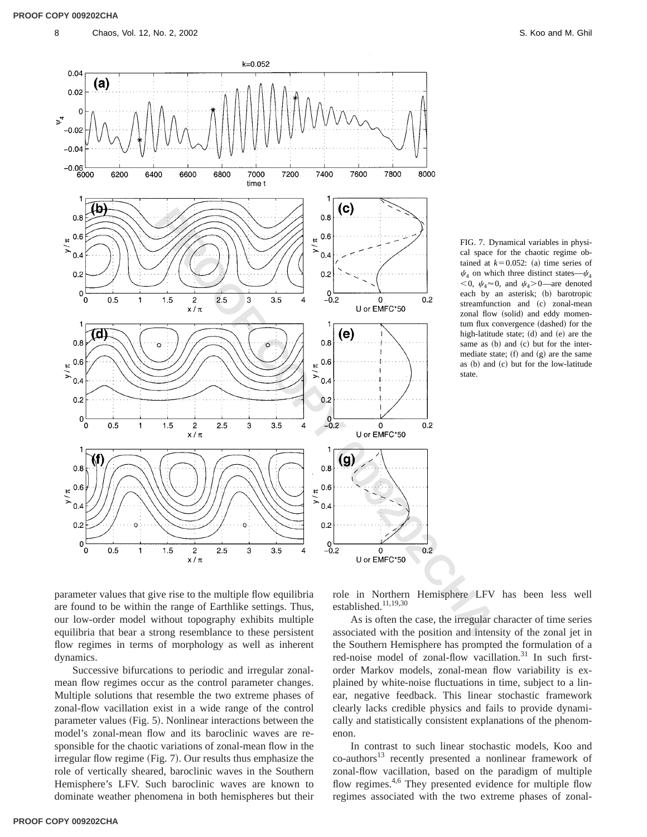

FIG. 7. Dynamical variables in physical space for the chaotic regime obtained at  $k=0.052$ : (a) time series of  $\psi_4$  on which three distinct states— $\psi_4$  $< 0$ ,  $\psi_4 \approx 0$ , and  $\psi_4 > 0$ —are denoted each by an asterisk; (b) barotropic streamfunction and (c) zonal-mean zonal flow (solid) and eddy momentum flux convergence (dashed) for the high-latitude state;  $(d)$  and  $(e)$  are the same as  $(b)$  and  $(c)$  but for the intermediate state;  $(f)$  and  $(g)$  are the same as (b) and (c) but for the low-latitude state.

parameter values that give rise to the multiple flow equilibria are found to be within the range of Earthlike settings. Thus, our low-order model without topography exhibits multiple equilibria that bear a strong resemblance to these persistent flow regimes in terms of morphology as well as inherent dynamics.

Successive bifurcations to periodic and irregular zonalmean flow regimes occur as the control parameter changes. Multiple solutions that resemble the two extreme phases of zonal-flow vacillation exist in a wide range of the control parameter values (Fig. 5). Nonlinear interactions between the model's zonal-mean flow and its baroclinic waves are responsible for the chaotic variations of zonal-mean flow in the irregular flow regime (Fig. 7). Our results thus emphasize the role of vertically sheared, baroclinic waves in the Southern Hemisphere's LFV. Such baroclinic waves are known to dominate weather phenomena in both hemispheres but their role in Northern Hemisphere LFV has been less well established.<sup>11,19,30</sup>

As is often the case, the irregular character of time series associated with the position and intensity of the zonal jet in the Southern Hemisphere has prompted the formulation of a red-noise model of zonal-flow vacillation.<sup>31</sup> In such firstorder Markov models, zonal-mean flow variability is explained by white-noise fluctuations in time, subject to a linear, negative feedback. This linear stochastic framework clearly lacks credible physics and fails to provide dynamically and statistically consistent explanations of the phenomenon.

In contrast to such linear stochastic models, Koo and  $co$ -authors<sup>13</sup> recently presented a nonlinear framework of zonal-flow vacillation, based on the paradigm of multiple flow regimes.<sup>4,6</sup> They presented evidence for multiple flow regimes associated with the two extreme phases of zonal-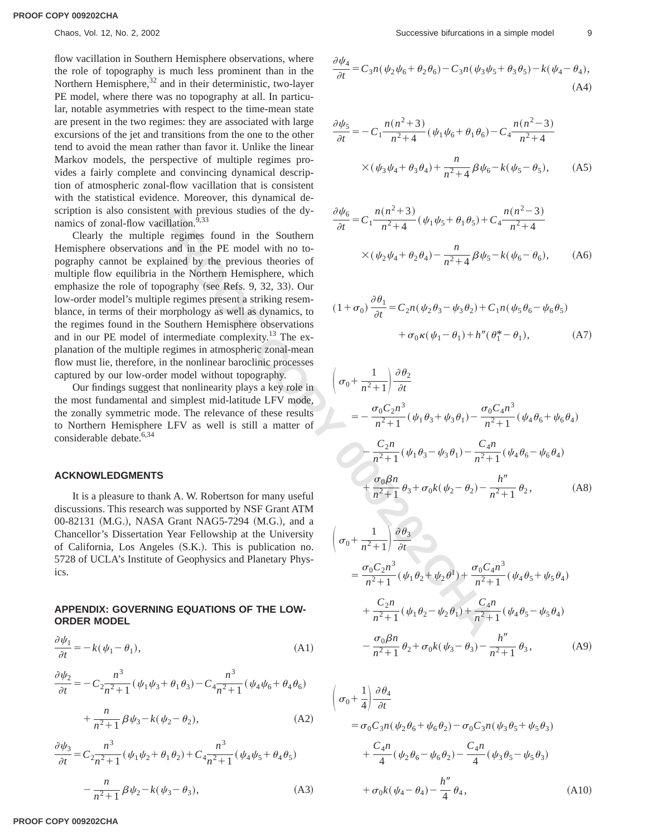flow vacillation in Southern Hemisphere observations, where the role of topography is much less prominent than in the Northern Hemisphere, $32$  and in their deterministic, two-layer PE model, where there was no topography at all. In particular, notable asymmetries with respect to the time-mean state are present in the two regimes: they are associated with large excursions of the jet and transitions from the one to the other tend to avoid the mean rather than favor it. Unlike the linear Markov models, the perspective of multiple regimes provides a fairly complete and convincing dynamical description of atmospheric zonal-flow vacillation that is consistent with the statistical evidence. Moreover, this dynamical description is also consistent with previous studies of the dynamics of zonal-flow vacillation.<sup>9,33</sup>

**EXECUTE THENTIFY**<br> **EXECUTE THE CONDITION COPY**<br> **EXECUTE:**  $\frac{\partial \psi_6}{\partial t} = C_1 \frac{n(n^2+3)}{n^2+4} (\psi_1 \psi_5 + \theta_1 \theta_5) + C$ <br>
adison and in the Bouthern lemisphene, which no to-<br>
divide regimes found in the Southern Hermite is ex Clearly the multiple regimes found in the Southern Hemisphere observations and in the PE model with no topography cannot be explained by the previous theories of multiple flow equilibria in the Northern Hemisphere, which emphasize the role of topography (see Refs. 9, 32, 33). Our low-order model's multiple regimes present a striking resemblance, in terms of their morphology as well as dynamics, to the regimes found in the Southern Hemisphere observations and in our PE model of intermediate complexity.<sup>13</sup> The explanation of the multiple regimes in atmospheric zonal-mean flow must lie, therefore, in the nonlinear baroclinic processes captured by our low-order model without topography.

Our findings suggest that nonlinearity plays a key role in the most fundamental and simplest mid-latitude LFV mode, the zonally symmetric mode. The relevance of these results to Northern Hemisphere LFV as well is still a matter of considerable debate.<sup>6,34</sup>

### **ACKNOWLEDGMENTS**

It is a pleasure to thank A. W. Robertson for many useful discussions. This research was supported by NSF Grant ATM 00-82131 (M.G.), NASA Grant NAG5-7294 (M.G.), and a Chancellor's Dissertation Year Fellowship at the University of California, Los Angeles (S.K.). This is publication no. 5728 of UCLA's Institute of Geophysics and Planetary Physics.

## **APPENDIX: GOVERNING EQUATIONS OF THE LOW-ORDER MODEL**

$$
\frac{\partial \psi_1}{\partial t} = -k(\psi_1 - \theta_1),\tag{A1}
$$

$$
\frac{\partial \psi_2}{\partial t} = -C_2 \frac{n^3}{n^2 + 1} (\psi_1 \psi_3 + \theta_1 \theta_3) - C_4 \frac{n^3}{n^2 + 1} (\psi_4 \psi_6 + \theta_4 \theta_6)
$$

$$
+\frac{n}{n^2+1}\beta\psi_3 - k(\psi_2 - \theta_2),
$$
 (A2)

$$
\frac{\partial \psi_3}{\partial t} = C_2 \frac{n^3}{n^2 + 1} (\psi_1 \psi_2 + \theta_1 \theta_2) + C_4 \frac{n^3}{n^2 + 1} (\psi_4 \psi_5 + \theta_4 \theta_5)
$$

$$
- \frac{n}{n^2 + 1} \beta \psi_2 - k(\psi_3 - \theta_3), \tag{A3}
$$

$$
\frac{\psi_4}{\partial t} = C_3 n (\psi_2 \psi_6 + \theta_2 \theta_6) - C_3 n (\psi_3 \psi_5 + \theta_3 \theta_5) - k (\psi_4 - \theta_4),
$$
\n(A4)

 $\partial$ 

$$
\frac{\partial \psi_5}{\partial t} = -C_1 \frac{n(n^2+3)}{n^2+4} (\psi_1 \psi_6 + \theta_1 \theta_6) - C_4 \frac{n(n^2-3)}{n^2+4}
$$

$$
\times (\psi_3 \psi_4 + \theta_3 \theta_4) + \frac{n}{n^2+4} \beta \psi_6 - k(\psi_5 - \theta_5), \quad (A5)
$$

$$
\frac{\partial \psi_6}{\partial t} = C_1 \frac{n(n^2+3)}{n^2+4} (\psi_1 \psi_5 + \theta_1 \theta_5) + C_4 \frac{n(n^2-3)}{n^2+4}
$$

$$
\times (\psi_2 \psi_4 + \theta_2 \theta_4) - \frac{n}{n^2+4} \beta \psi_5 - k(\psi_6 - \theta_6), \quad (A6)
$$

$$
(1 + \sigma_0) \frac{\partial \theta_1}{\partial t} = C_2 n (\psi_2 \theta_3 - \psi_3 \theta_2) + C_1 n (\psi_5 \theta_6 - \psi_6 \theta_5) + \sigma_0 \kappa (\psi_1 - \theta_1) + h'' (\theta_1^* - \theta_1), \tag{A7}
$$

$$
\left(\sigma_{0} + \frac{1}{n^{2}+1}\right) \frac{\partial \theta_{2}}{\partial t}
$$
\n
$$
= -\frac{\sigma_{0}C_{2}n^{3}}{n^{2}+1} (\psi_{1}\theta_{3} + \psi_{3}\theta_{1}) - \frac{\sigma_{0}C_{4}n^{3}}{n^{2}+1} (\psi_{4}\theta_{6} + \psi_{6}\theta_{4})
$$
\n
$$
- \frac{C_{2}n}{n^{2}+1} (\psi_{1}\theta_{3} - \psi_{3}\theta_{1}) - \frac{C_{4}n}{n^{2}+1} (\psi_{4}\theta_{6} - \psi_{6}\theta_{4})
$$
\n
$$
+ \frac{\sigma_{0}\beta n}{n^{2}+1} \theta_{3} + \sigma_{0}k(\psi_{2} - \theta_{2}) - \frac{h''}{n^{2}+1} \theta_{2}, \qquad (A8)
$$

$$
\left(\sigma_{0} + \frac{1}{n^{2}+1}\right) \frac{\partial \theta_{3}}{\partial t}
$$
\n
$$
= \frac{\sigma_{0} C_{2} n^{3}}{n^{2}+1} (\psi_{1} \theta_{2} + \psi_{2} \theta^{1}) + \frac{\sigma_{0} C_{4} n^{3}}{n^{2}+1} (\psi_{4} \theta_{5} + \psi_{5} \theta_{4})
$$
\n
$$
+ \frac{C_{2} n}{n^{2}+1} (\psi_{1} \theta_{2} - \psi_{2} \theta_{1}) + \frac{C_{4} n}{n^{2}+1} (\psi_{4} \theta_{5} - \psi_{5} \theta_{4})
$$
\n
$$
- \frac{\sigma_{0} \beta n}{n^{2}+1} \theta_{2} + \sigma_{0} k (\psi_{3} - \theta_{3}) - \frac{h''}{n^{2}+1} \theta_{3}, \qquad (A9)
$$

$$
\begin{aligned}\n&\left(\sigma_{0} + \frac{1}{4}\right) \frac{\partial \theta_{4}}{\partial t} \\
&= \sigma_{0} C_{3} n (\psi_{2} \theta_{6} + \psi_{6} \theta_{2}) - \sigma_{0} C_{3} n (\psi_{3} \theta_{5} + \psi_{5} \theta_{3}) \\
&+ \frac{C_{4} n}{4} (\psi_{2} \theta_{6} - \psi_{6} \theta_{2}) - \frac{C_{4} n}{4} (\psi_{3} \theta_{5} - \psi_{5} \theta_{3}) \\
&+ \sigma_{0} k (\psi_{4} - \theta_{4}) - \frac{h''}{4} \theta_{4},\n\end{aligned} \tag{A10}
$$

 **PROOF COPY 009202CHA**